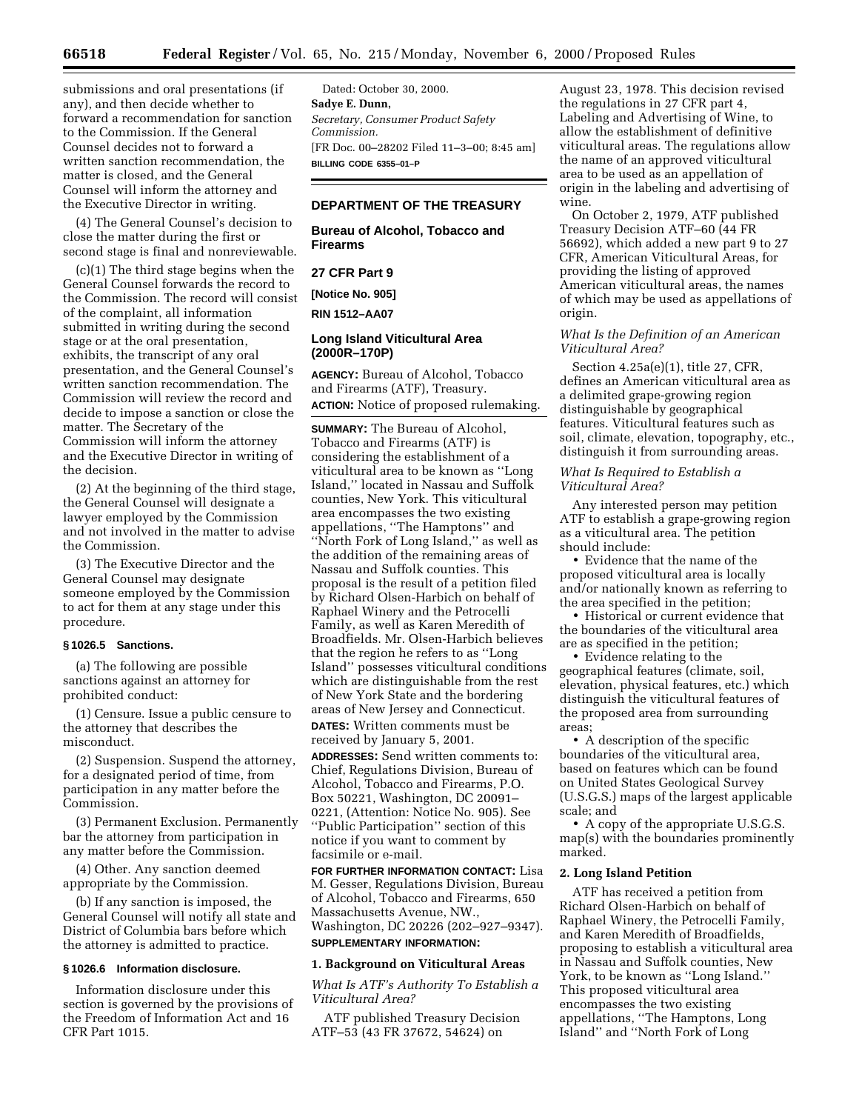submissions and oral presentations (if any), and then decide whether to forward a recommendation for sanction to the Commission. If the General Counsel decides not to forward a written sanction recommendation, the matter is closed, and the General Counsel will inform the attorney and the Executive Director in writing.

(4) The General Counsel's decision to close the matter during the first or second stage is final and nonreviewable.

(c)(1) The third stage begins when the General Counsel forwards the record to the Commission. The record will consist of the complaint, all information submitted in writing during the second stage or at the oral presentation, exhibits, the transcript of any oral presentation, and the General Counsel's written sanction recommendation. The Commission will review the record and decide to impose a sanction or close the matter. The Secretary of the Commission will inform the attorney and the Executive Director in writing of the decision.

(2) At the beginning of the third stage, the General Counsel will designate a lawyer employed by the Commission and not involved in the matter to advise the Commission.

(3) The Executive Director and the General Counsel may designate someone employed by the Commission to act for them at any stage under this procedure.

## **§ 1026.5 Sanctions.**

(a) The following are possible sanctions against an attorney for prohibited conduct:

(1) Censure. Issue a public censure to the attorney that describes the misconduct.

(2) Suspension. Suspend the attorney, for a designated period of time, from participation in any matter before the Commission.

(3) Permanent Exclusion. Permanently bar the attorney from participation in any matter before the Commission.

(4) Other. Any sanction deemed appropriate by the Commission.

(b) If any sanction is imposed, the General Counsel will notify all state and District of Columbia bars before which the attorney is admitted to practice.

#### **§ 1026.6 Information disclosure.**

Information disclosure under this section is governed by the provisions of the Freedom of Information Act and 16 CFR Part 1015.

Dated: October 30, 2000. **Sadye E. Dunn,** *Secretary, Consumer Product Safety Commission.* [FR Doc. 00–28202 Filed 11–3–00; 8:45 am] **BILLING CODE 6355–01–P**

## **DEPARTMENT OF THE TREASURY**

**Bureau of Alcohol, Tobacco and Firearms**

## **27 CFR Part 9**

**[Notice No. 905]**

**RIN 1512–AA07**

## **Long Island Viticultural Area (2000R–170P)**

**AGENCY:** Bureau of Alcohol, Tobacco and Firearms (ATF), Treasury. **ACTION:** Notice of proposed rulemaking.

**SUMMARY:** The Bureau of Alcohol, Tobacco and Firearms (ATF) is considering the establishment of a viticultural area to be known as ''Long Island,'' located in Nassau and Suffolk counties, New York. This viticultural area encompasses the two existing appellations, ''The Hamptons'' and ''North Fork of Long Island,'' as well as the addition of the remaining areas of Nassau and Suffolk counties. This proposal is the result of a petition filed by Richard Olsen-Harbich on behalf of Raphael Winery and the Petrocelli Family, as well as Karen Meredith of Broadfields. Mr. Olsen-Harbich believes that the region he refers to as ''Long Island'' possesses viticultural conditions which are distinguishable from the rest of New York State and the bordering areas of New Jersey and Connecticut.

**DATES:** Written comments must be received by January 5, 2001.

**ADDRESSES:** Send written comments to: Chief, Regulations Division, Bureau of Alcohol, Tobacco and Firearms, P.O. Box 50221, Washington, DC 20091– 0221, (Attention: Notice No. 905). See ''Public Participation'' section of this notice if you want to comment by facsimile or e-mail.

**FOR FURTHER INFORMATION CONTACT:** Lisa M. Gesser, Regulations Division, Bureau of Alcohol, Tobacco and Firearms, 650 Massachusetts Avenue, NW., Washington, DC 20226 (202–927–9347). **SUPPLEMENTARY INFORMATION:**

#### **1. Background on Viticultural Areas**

*What Is ATF's Authority To Establish a Viticultural Area?*

ATF published Treasury Decision ATF–53 (43 FR 37672, 54624) on

August 23, 1978. This decision revised the regulations in 27 CFR part 4, Labeling and Advertising of Wine, to allow the establishment of definitive viticultural areas. The regulations allow the name of an approved viticultural area to be used as an appellation of origin in the labeling and advertising of wine.

On October 2, 1979, ATF published Treasury Decision ATF–60 (44 FR 56692), which added a new part 9 to 27 CFR, American Viticultural Areas, for providing the listing of approved American viticultural areas, the names of which may be used as appellations of origin.

## *What Is the Definition of an American Viticultural Area?*

Section 4.25a(e)(1), title 27, CFR, defines an American viticultural area as a delimited grape-growing region distinguishable by geographical features. Viticultural features such as soil, climate, elevation, topography, etc., distinguish it from surrounding areas.

*What Is Required to Establish a Viticultural Area?*

Any interested person may petition ATF to establish a grape-growing region as a viticultural area. The petition should include:

• Evidence that the name of the proposed viticultural area is locally and/or nationally known as referring to the area specified in the petition;

• Historical or current evidence that the boundaries of the viticultural area are as specified in the petition;

• Evidence relating to the geographical features (climate, soil, elevation, physical features, etc.) which distinguish the viticultural features of the proposed area from surrounding areas;

• A description of the specific boundaries of the viticultural area, based on features which can be found on United States Geological Survey (U.S.G.S.) maps of the largest applicable scale; and

• A copy of the appropriate U.S.G.S. map(s) with the boundaries prominently marked.

## **2. Long Island Petition**

ATF has received a petition from Richard Olsen-Harbich on behalf of Raphael Winery, the Petrocelli Family, and Karen Meredith of Broadfields, proposing to establish a viticultural area in Nassau and Suffolk counties, New York, to be known as ''Long Island.'' This proposed viticultural area encompasses the two existing appellations, ''The Hamptons, Long Island'' and ''North Fork of Long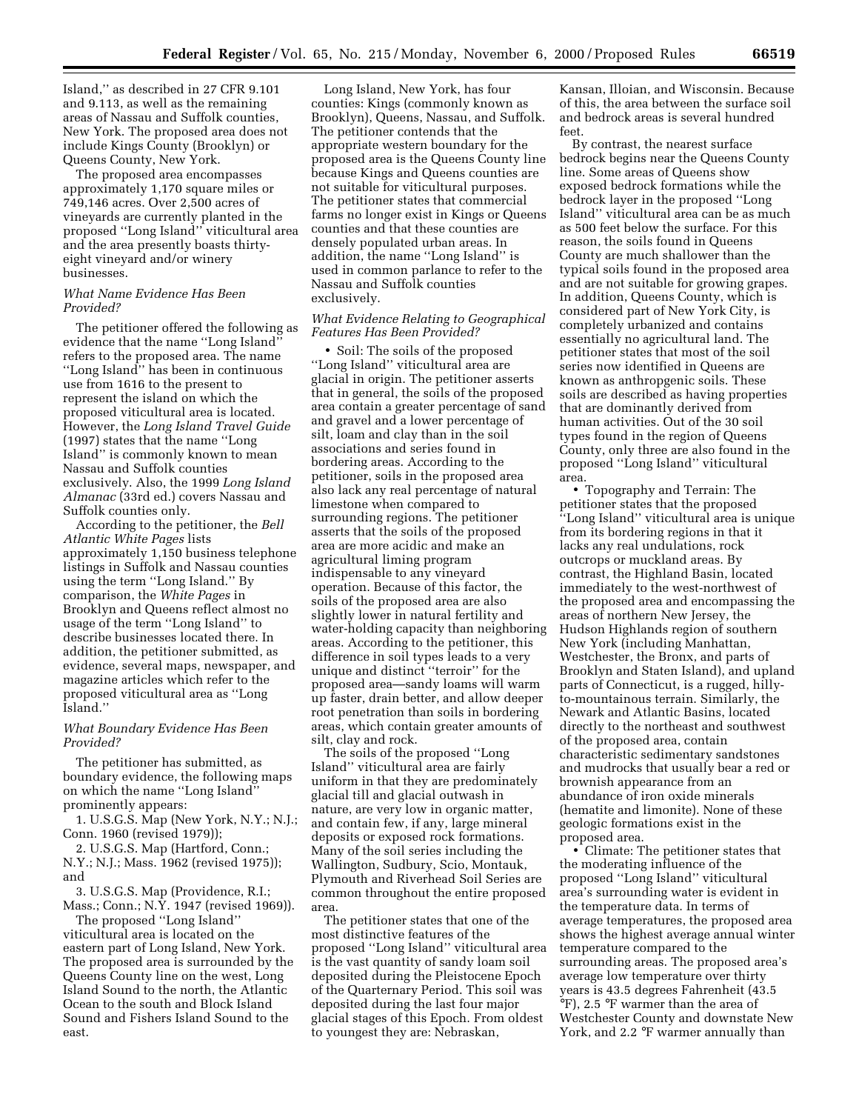Island,'' as described in 27 CFR 9.101 and 9.113, as well as the remaining areas of Nassau and Suffolk counties, New York. The proposed area does not include Kings County (Brooklyn) or Queens County, New York.

The proposed area encompasses approximately 1,170 square miles or 749,146 acres. Over 2,500 acres of vineyards are currently planted in the proposed ''Long Island'' viticultural area and the area presently boasts thirtyeight vineyard and/or winery businesses.

## *What Name Evidence Has Been Provided?*

The petitioner offered the following as evidence that the name ''Long Island'' refers to the proposed area. The name ''Long Island'' has been in continuous use from 1616 to the present to represent the island on which the proposed viticultural area is located. However, the *Long Island Travel Guide* (1997) states that the name ''Long Island'' is commonly known to mean Nassau and Suffolk counties exclusively. Also, the 1999 *Long Island Almanac* (33rd ed.) covers Nassau and Suffolk counties only.

According to the petitioner, the *Bell Atlantic White Pages* lists approximately 1,150 business telephone listings in Suffolk and Nassau counties using the term ''Long Island.'' By comparison, the *White Pages* in Brooklyn and Queens reflect almost no usage of the term ''Long Island'' to describe businesses located there. In addition, the petitioner submitted, as evidence, several maps, newspaper, and magazine articles which refer to the proposed viticultural area as ''Long Island.''

## *What Boundary Evidence Has Been Provided?*

The petitioner has submitted, as boundary evidence, the following maps on which the name ''Long Island'' prominently appears:

1. U.S.G.S. Map (New York, N.Y.; N.J.; Conn. 1960 (revised 1979));

2. U.S.G.S. Map (Hartford, Conn.; N.Y.; N.J.; Mass. 1962 (revised 1975)); and

3. U.S.G.S. Map (Providence, R.I.; Mass.; Conn.; N.Y. 1947 (revised 1969)).

The proposed ''Long Island'' viticultural area is located on the eastern part of Long Island, New York. The proposed area is surrounded by the Queens County line on the west, Long Island Sound to the north, the Atlantic Ocean to the south and Block Island Sound and Fishers Island Sound to the east.

Long Island, New York, has four counties: Kings (commonly known as Brooklyn), Queens, Nassau, and Suffolk. The petitioner contends that the appropriate western boundary for the proposed area is the Queens County line because Kings and Queens counties are not suitable for viticultural purposes. The petitioner states that commercial farms no longer exist in Kings or Queens counties and that these counties are densely populated urban areas. In addition, the name ''Long Island'' is used in common parlance to refer to the Nassau and Suffolk counties exclusively.

## *What Evidence Relating to Geographical Features Has Been Provided?*

• Soil: The soils of the proposed ''Long Island'' viticultural area are glacial in origin. The petitioner asserts that in general, the soils of the proposed area contain a greater percentage of sand and gravel and a lower percentage of silt, loam and clay than in the soil associations and series found in bordering areas. According to the petitioner, soils in the proposed area also lack any real percentage of natural limestone when compared to surrounding regions. The petitioner asserts that the soils of the proposed area are more acidic and make an agricultural liming program indispensable to any vineyard operation. Because of this factor, the soils of the proposed area are also slightly lower in natural fertility and water-holding capacity than neighboring areas. According to the petitioner, this difference in soil types leads to a very unique and distinct ''terroir'' for the proposed area—sandy loams will warm up faster, drain better, and allow deeper root penetration than soils in bordering areas, which contain greater amounts of silt, clay and rock.

The soils of the proposed ''Long Island'' viticultural area are fairly uniform in that they are predominately glacial till and glacial outwash in nature, are very low in organic matter, and contain few, if any, large mineral deposits or exposed rock formations. Many of the soil series including the Wallington, Sudbury, Scio, Montauk, Plymouth and Riverhead Soil Series are common throughout the entire proposed area.

The petitioner states that one of the most distinctive features of the proposed ''Long Island'' viticultural area is the vast quantity of sandy loam soil deposited during the Pleistocene Epoch of the Quarternary Period. This soil was deposited during the last four major glacial stages of this Epoch. From oldest to youngest they are: Nebraskan,

Kansan, Illoian, and Wisconsin. Because of this, the area between the surface soil and bedrock areas is several hundred feet.

By contrast, the nearest surface bedrock begins near the Queens County line. Some areas of Queens show exposed bedrock formations while the bedrock layer in the proposed ''Long Island'' viticultural area can be as much as 500 feet below the surface. For this reason, the soils found in Queens County are much shallower than the typical soils found in the proposed area and are not suitable for growing grapes. In addition, Queens County, which is considered part of New York City, is completely urbanized and contains essentially no agricultural land. The petitioner states that most of the soil series now identified in Queens are known as anthropgenic soils. These soils are described as having properties that are dominantly derived from human activities. Out of the 30 soil types found in the region of Queens County, only three are also found in the proposed ''Long Island'' viticultural area.

• Topography and Terrain: The petitioner states that the proposed ''Long Island'' viticultural area is unique from its bordering regions in that it lacks any real undulations, rock outcrops or muckland areas. By contrast, the Highland Basin, located immediately to the west-northwest of the proposed area and encompassing the areas of northern New Jersey, the Hudson Highlands region of southern New York (including Manhattan, Westchester, the Bronx, and parts of Brooklyn and Staten Island), and upland parts of Connecticut, is a rugged, hillyto-mountainous terrain. Similarly, the Newark and Atlantic Basins, located directly to the northeast and southwest of the proposed area, contain characteristic sedimentary sandstones and mudrocks that usually bear a red or brownish appearance from an abundance of iron oxide minerals (hematite and limonite). None of these geologic formations exist in the proposed area.

• Climate: The petitioner states that the moderating influence of the proposed ''Long Island'' viticultural area's surrounding water is evident in the temperature data. In terms of average temperatures, the proposed area shows the highest average annual winter temperature compared to the surrounding areas. The proposed area's average low temperature over thirty years is 43.5 degrees Fahrenheit (43.5 °F), 2.5 °F warmer than the area of Westchester County and downstate New York, and 2.2 °F warmer annually than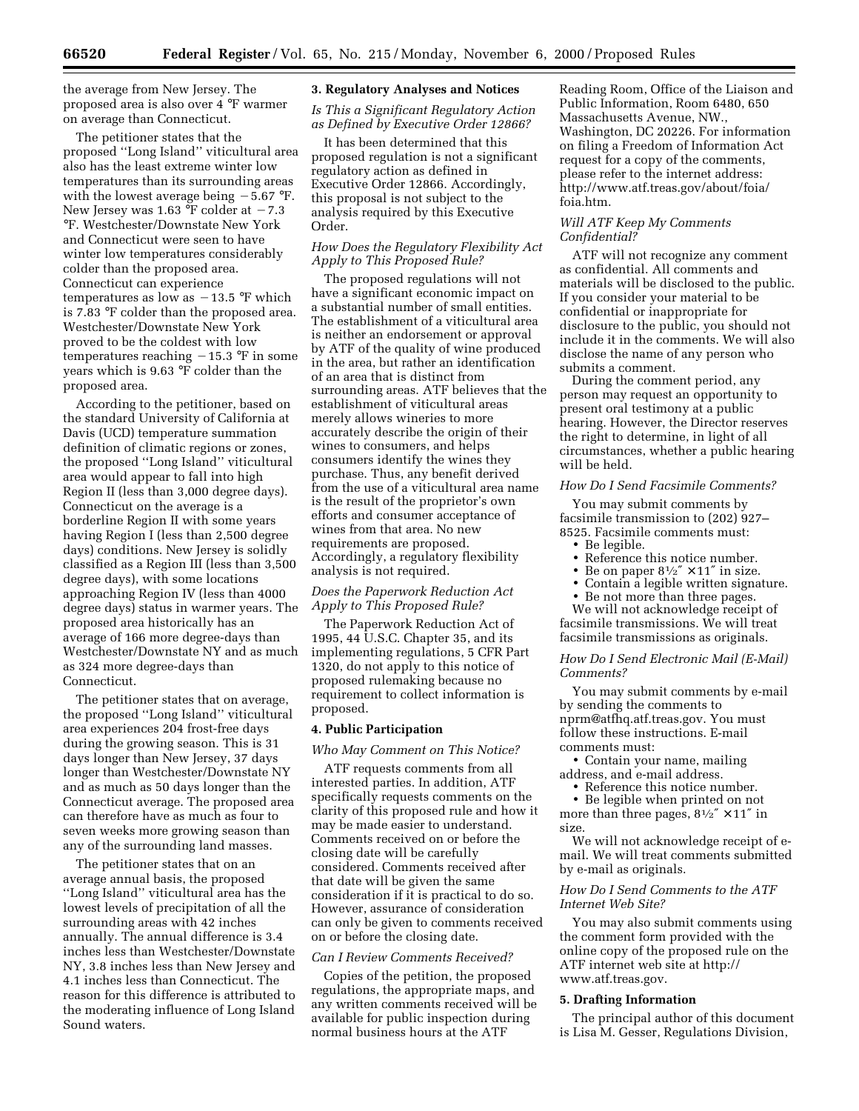the average from New Jersey. The proposed area is also over 4 °F warmer on average than Connecticut.

The petitioner states that the proposed ''Long Island'' viticultural area also has the least extreme winter low temperatures than its surrounding areas with the lowest average being  $-5.67$  °F. New Jersey was 1.63  $\degree$ F colder at  $-7.3$ °F. Westchester/Downstate New York and Connecticut were seen to have winter low temperatures considerably colder than the proposed area. Connecticut can experience temperatures as low as  $-13.5$  °F which is 7.83 °F colder than the proposed area. Westchester/Downstate New York proved to be the coldest with low temperatures reaching  $-15.3$  °F in some years which is 9.63 °F colder than the proposed area.

According to the petitioner, based on the standard University of California at Davis (UCD) temperature summation definition of climatic regions or zones, the proposed ''Long Island'' viticultural area would appear to fall into high Region II (less than 3,000 degree days). Connecticut on the average is a borderline Region II with some years having Region I (less than 2,500 degree days) conditions. New Jersey is solidly classified as a Region III (less than 3,500 degree days), with some locations approaching Region IV (less than 4000 degree days) status in warmer years. The proposed area historically has an average of 166 more degree-days than Westchester/Downstate NY and as much as 324 more degree-days than Connecticut.

The petitioner states that on average, the proposed ''Long Island'' viticultural area experiences 204 frost-free days during the growing season. This is 31 days longer than New Jersey, 37 days longer than Westchester/Downstate NY and as much as 50 days longer than the Connecticut average. The proposed area can therefore have as much as four to seven weeks more growing season than any of the surrounding land masses.

The petitioner states that on an average annual basis, the proposed ''Long Island'' viticultural area has the lowest levels of precipitation of all the surrounding areas with 42 inches annually. The annual difference is 3.4 inches less than Westchester/Downstate NY, 3.8 inches less than New Jersey and 4.1 inches less than Connecticut. The reason for this difference is attributed to the moderating influence of Long Island Sound waters.

### **3. Regulatory Analyses and Notices**

*Is This a Significant Regulatory Action as Defined by Executive Order 12866?*

It has been determined that this proposed regulation is not a significant regulatory action as defined in Executive Order 12866. Accordingly, this proposal is not subject to the analysis required by this Executive Order.

## *How Does the Regulatory Flexibility Act Apply to This Proposed Rule?*

The proposed regulations will not have a significant economic impact on a substantial number of small entities. The establishment of a viticultural area is neither an endorsement or approval by ATF of the quality of wine produced in the area, but rather an identification of an area that is distinct from surrounding areas. ATF believes that the establishment of viticultural areas merely allows wineries to more accurately describe the origin of their wines to consumers, and helps consumers identify the wines they purchase. Thus, any benefit derived from the use of a viticultural area name is the result of the proprietor's own efforts and consumer acceptance of wines from that area. No new requirements are proposed. Accordingly, a regulatory flexibility analysis is not required.

## *Does the Paperwork Reduction Act Apply to This Proposed Rule?*

The Paperwork Reduction Act of 1995, 44 U.S.C. Chapter 35, and its implementing regulations, 5 CFR Part 1320, do not apply to this notice of proposed rulemaking because no requirement to collect information is proposed.

#### **4. Public Participation**

#### *Who May Comment on This Notice?*

ATF requests comments from all interested parties. In addition, ATF specifically requests comments on the clarity of this proposed rule and how it may be made easier to understand. Comments received on or before the closing date will be carefully considered. Comments received after that date will be given the same consideration if it is practical to do so. However, assurance of consideration can only be given to comments received on or before the closing date.

### *Can I Review Comments Received?*

Copies of the petition, the proposed regulations, the appropriate maps, and any written comments received will be available for public inspection during normal business hours at the ATF

Reading Room, Office of the Liaison and Public Information, Room 6480, 650 Massachusetts Avenue, NW., Washington, DC 20226. For information on filing a Freedom of Information Act request for a copy of the comments, please refer to the internet address: http://www.atf.treas.gov/about/foia/ foia.htm.

## *Will ATF Keep My Comments Confidential?*

ATF will not recognize any comment as confidential. All comments and materials will be disclosed to the public. If you consider your material to be confidential or inappropriate for disclosure to the public, you should not include it in the comments. We will also disclose the name of any person who submits a comment.

During the comment period, any person may request an opportunity to present oral testimony at a public hearing. However, the Director reserves the right to determine, in light of all circumstances, whether a public hearing will be held.

## *How Do I Send Facsimile Comments?*

You may submit comments by facsimile transmission to (202) 927– 8525. Facsimile comments must:

- Be legible.
- Reference this notice number.
- Be on paper  $8\frac{1}{2}$ " × 11" in size.
- Contain a legible written signature.
- Be not more than three pages.

We will not acknowledge receipt of facsimile transmissions. We will treat facsimile transmissions as originals.

*How Do I Send Electronic Mail (E-Mail) Comments?*

You may submit comments by e-mail by sending the comments to nprm@atfhq.atf.treas.gov. You must follow these instructions. E-mail comments must:

• Contain your name, mailing address, and e-mail address.

• Reference this notice number.

• Be legible when printed on not more than three pages,  $8\frac{1}{2}$   $\times$  11" in size.

We will not acknowledge receipt of email. We will treat comments submitted by e-mail as originals.

### *How Do I Send Comments to the ATF Internet Web Site?*

You may also submit comments using the comment form provided with the online copy of the proposed rule on the ATF internet web site at http:// www.atf.treas.gov.

### **5. Drafting Information**

The principal author of this document is Lisa M. Gesser, Regulations Division,